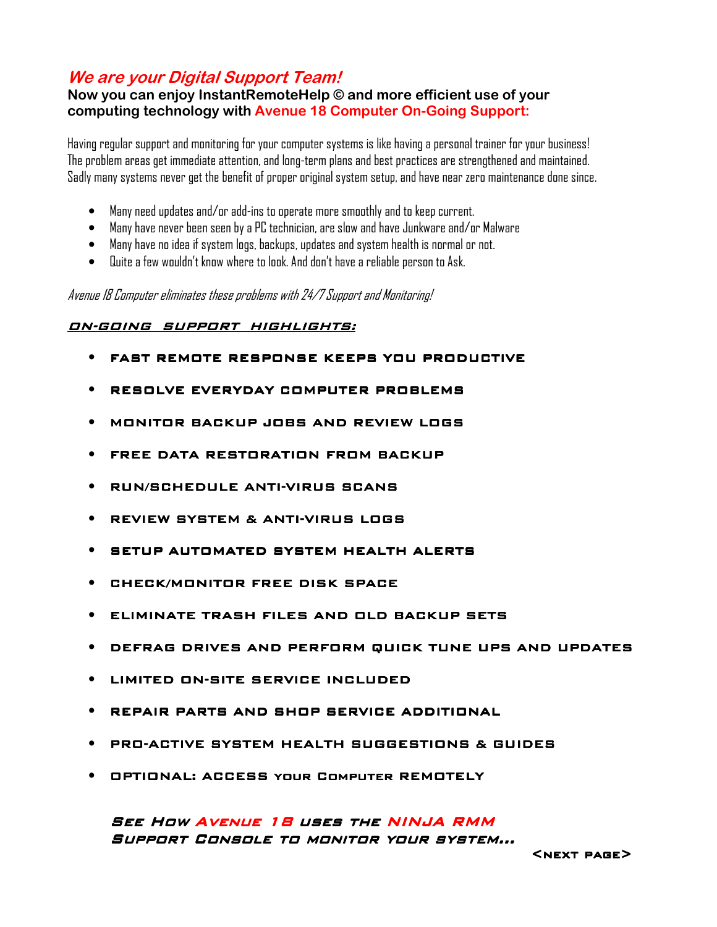## **We are your Digital Support Team!**

### **Now you can enjoy InstantRemoteHelp © and more efficient use of your computing technology with Avenue 18 Computer On-Going Support:**

Having regular support and monitoring for your computer systems is like having a personal trainer for your business! The problem areas get immediate attention, and long-term plans and best practices are strengthened and maintained. Sadly many systems never get the benefit of proper original system setup, and have near zero maintenance done since.

- Many need updates and/or add-ins to operate more smoothly and to keep current.
- Many have never been seen by a PC technician, are slow and have Junkware and/or Malware
- Many have no idea if system logs, backups, updates and system health is normal or not.
- Quite a few wouldn't know where to look. And don't have a reliable person to Ask.

Avenue 18 Computer eliminates these problems with 24/7 Support and Monitoring!

#### ON-GOING SUPPORT HIGHLIGHTS:

- FAST REMOTE RESPONSE KEEPS YOU PRODUCTIVE
- RESOLVE EVERYDAY COMPUTER PROBLEMS
- MONITOR MONITORBACKUP JOBS BACKUP JOBS AND REVIEWLOGS
- FREE DATA RESTORATION FROM BACKUP
- **PUN/SCHEDULE ANTI-VIRUS SCANS**
- REVIEW SYSTEM & A ANTI-VIRUS LOGS
- SETUP AUTOMATED SYSTEM HEALTH ALERTS
- CHECK/MONITOR FREE DISK SPACE
- ELIMINATE TRASH FILES AND OLD BACKUP SETS
- DEFRAG DRIVES AND PERFORM QUICK TUNE UPS AND UPDATES
- LIMITED ON-SITE SERVICE INCLUDED
- REPAIR PARTS AND SHOP SERVICE ADDITIONAL
- PRO-ACTIVE SYSTEM HEALTH SUGGESTIONS & GUIDES ACTIVE SYSTEM HEALTH SUGGESTIONS & GUIDES GUIDES
- **OPTIONAL: ACCESS YOUR COMPUTER REMOTELY**

SEE HOW AVENUE 18 USES THE NINJA RMM Support Console to monitor your system…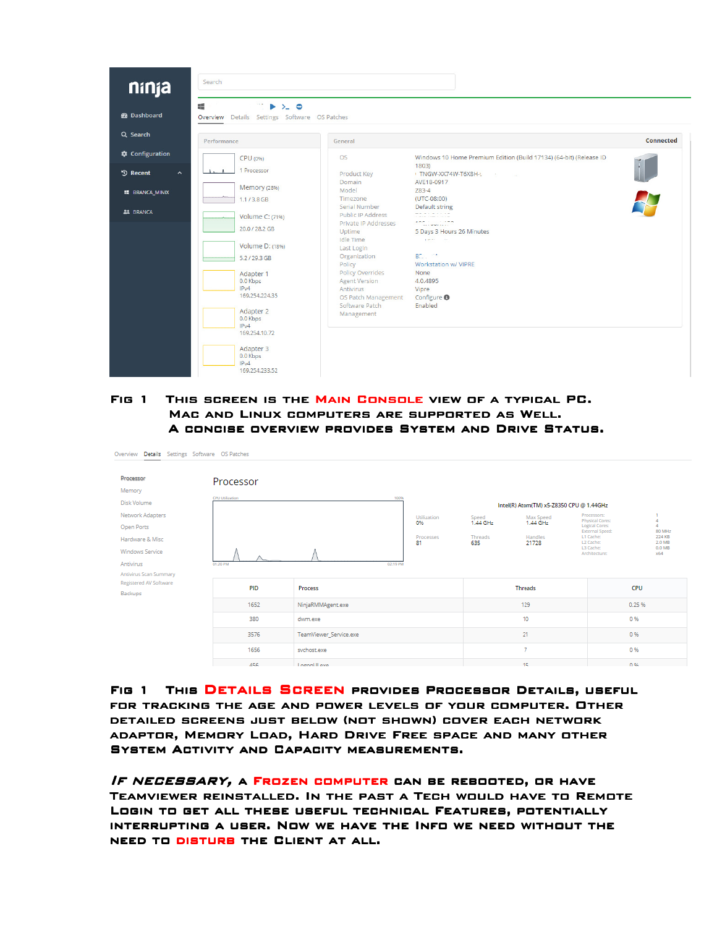

#### FIG 1 THIS SCREEN IS THE MAIN CONSOLE VIEW OF A TYPICAL PC. MAC AND LINUX COMPUTERS ARE SUPPORTED AS WELL. A CONCISE OVERVIEW PROVIDES SYSTEM AND DRIVE STATUS.

| Overview Details Settings Software OS Patches    |                        |                        |                                          |                       |                       |                                                         |                                      |  |
|--------------------------------------------------|------------------------|------------------------|------------------------------------------|-----------------------|-----------------------|---------------------------------------------------------|--------------------------------------|--|
| Processor                                        | Processor              |                        |                                          |                       |                       |                                                         |                                      |  |
| Memory<br>Disk Volume                            | <b>CPU</b> Utilization | 100%                   | Intel(R) Atom(TM) x5-Z8350 CPU @ 1.44GHz |                       |                       |                                                         |                                      |  |
| Network Adapters<br>Open Ports                   |                        |                        | Utilization<br>0%                        | Speed<br>$1.44$ GHz   | Max Speed<br>1.44 GHz | Processors:<br>Physical Cores:<br><b>Logical Cores:</b> | $\Delta$<br>4                        |  |
| Hardware & Misc                                  |                        |                        | Processes<br>81                          | <b>Threads</b><br>635 | Handles<br>21728      | External Speed:<br>L1 Cache:<br>L2 Cache:<br>L3 Cache:  | 80 MHz<br>224 KB<br>2.0 MB<br>0.0 MB |  |
| Windows Service<br>Antivirus                     | 01:20 PM               |                        | 02:19 PM                                 |                       |                       | Architecture:                                           | <b>x64</b>                           |  |
| Antivirus Scan Summary<br>Registered AV Software |                        |                        |                                          |                       |                       |                                                         |                                      |  |
| Backups                                          | <b>PID</b>             | Process                |                                          |                       | <b>Threads</b>        |                                                         | <b>CPU</b>                           |  |
|                                                  | 1652                   | NinjaRMMAgent.exe      |                                          | 129                   |                       |                                                         | 0.25 %                               |  |
|                                                  | 380                    | dwm.exe                |                                          | 10                    |                       |                                                         | 0%                                   |  |
|                                                  | 3576                   | TeamViewer_Service.exe |                                          | 21                    |                       |                                                         | 0 %                                  |  |
|                                                  | 1656                   | svchost.exe            |                                          |                       | 7                     |                                                         | 0%                                   |  |
|                                                  | 456                    | LogonULexe             |                                          | 15.                   |                       |                                                         | 0.96                                 |  |

FIG 1 THIS DETAILS SCREEN PROVIDES PROCESSOR DETAILS, USEFUL for tracking the age and power levels of your computer. Other DETAILED SCREENS JUST BELOW (NOT SHOWN) COVER EACH NETWORK ADAPTOR, MEMORY LOAD, HARD DRIVE FREE SPACE AND MANY OTHER SYSTEM ACTIVITY AND CAPACITY MEASUREMENTS.

IF NECESSARY, A FROZEN COMPUTER CAN BE REBOOTED, OR HAVE TEAMVIEWER REINSTALLED. IN THE PAST A TECH WOULD HAVE TO REMOTE LOGIN TO GET ALL THESE USEFUL TECHNICAL FEATURES, POTENTIALLY interrupting a user. Now we have the Info we need without the NEED TO DISTURB THE CLIENT AT ALL.